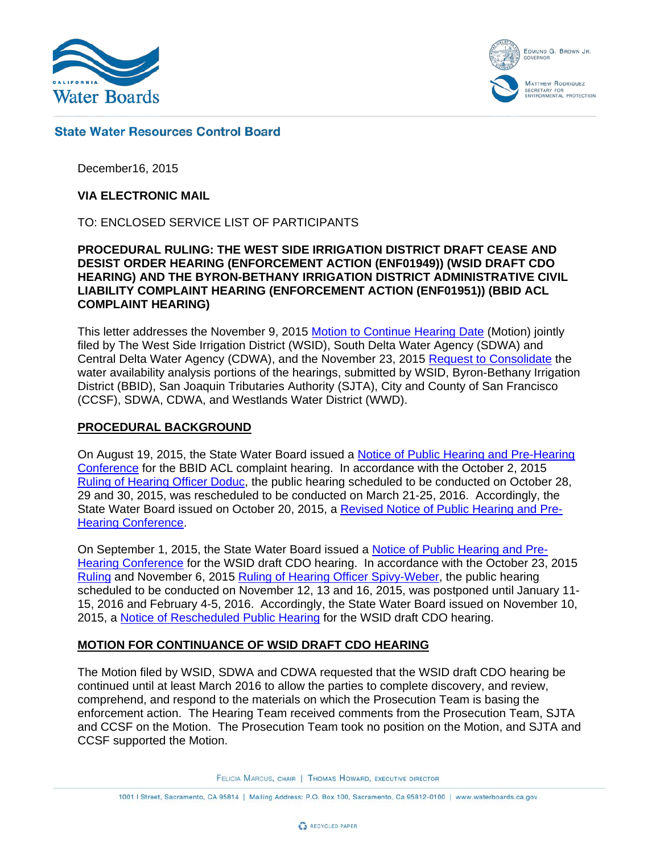

EDMUND G. BROWN JR. **MATTHEW RODRIQUEZ** SECRETARY FOR<br>ENVIRONMENTAL PROTECTION

## **State Water Resources Control Board**

December16, 2015

#### **VIA ELECTRONIC MAIL**

TO: ENCLOSED SERVICE LIST OF PARTICIPANTS

## **PROCEDURAL RULING: THE WEST SIDE IRRIGATION DISTRICT DRAFT CEASE AND DESIST ORDER HEARING (ENFORCEMENT ACTION (ENF01949)) (WSID DRAFT CDO HEARING) AND THE BYRON-BETHANY IRRIGATION DISTRICT ADMINISTRATIVE CIVIL LIABILITY COMPLAINT HEARING (ENFORCEMENT ACTION (ENF01951)) (BBID ACL COMPLAINT HEARING)**

This letter addresses the November 9, 2015 [Motion to Continue Hearing Date](http://www.waterboards.ca.gov/waterrights/water_issues/programs/hearings/westside_irrigation_district/docs/wsidcdo_motion2cont110915.pdf) (Motion) jointly filed by The West Side Irrigation District (WSID), South Delta Water Agency (SDWA) and Central Delta Water Agency (CDWA), and the November 23, 2015 [Request to Consolidate](http://www.waterboards.ca.gov/waterrights/water_issues/programs/hearings/westside_irrigation_district/docs/wsidcdo_consolidate_jointrequest112315.pdf) the water availability analysis portions of the hearings, submitted by WSID, Byron-Bethany Irrigation District (BBID), San Joaquin Tributaries Authority (SJTA), City and County of San Francisco (CCSF), SDWA, CDWA, and Westlands Water District (WWD).

### **PROCEDURAL BACKGROUND**

On August 19, 2015, the State Water Board issued a [Notice of Public Hearing and Pre-Hearing](http://www.waterboards.ca.gov/waterrights/water_issues/programs/hearings/byron_bethany/docs/notice_byronbethany.pdf)  [Conference](http://www.waterboards.ca.gov/waterrights/water_issues/programs/hearings/byron_bethany/docs/notice_byronbethany.pdf) for the BBID ACL complaint hearing. In accordance with the October 2, 2015 Ruling [of Hearing Officer Doduc,](http://www.waterboards.ca.gov/waterrights/water_issues/programs/hearings/byron_bethany/docs/bbid_oct2email.pdf) the public hearing scheduled to be conducted on October 28, 29 and 30, 2015, was rescheduled to be conducted on March 21-25, 2016. Accordingly, the State Water Board issued on October 20, 2015, a [Revised Notice of Public Hearing and Pre-](http://www.waterboards.ca.gov/waterrights/water_issues/programs/hearings/byron_bethany/docs/revised_notice_bbid.pdf)[Hearing Conference.](http://www.waterboards.ca.gov/waterrights/water_issues/programs/hearings/byron_bethany/docs/revised_notice_bbid.pdf)

On September 1, 2015, the State Water Board issued a [Notice of Public Hearing and Pre-](http://www.waterboards.ca.gov/waterrights/water_issues/programs/hearings/westside_irrigation_district/docs/notice_wid090115.pdf)[Hearing Conference](http://www.waterboards.ca.gov/waterrights/water_issues/programs/hearings/westside_irrigation_district/docs/notice_wid090115.pdf) for the WSID draft CDO hearing. In accordance with the October 23, 2015 [Ruling](http://www.waterboards.ca.gov/waterrights/water_issues/programs/hearings/westside_irrigation_district/docs/woodscdo_rulingletter102315.pdf) and November 6, 2015 Ruling [of Hearing Officer Spivy-Weber,](http://www.waterboards.ca.gov/waterrights/water_issues/programs/hearings/westside_irrigation_district/docs/wsidcdo_2ndruling110615.pdf) the public hearing scheduled to be conducted on November 12, 13 and 16, 2015, was postponed until January 11- 15, 2016 and February 4-5, 2016. Accordingly, the State Water Board issued on November 10, 2015, a [Notice of Rescheduled Public Hearing](http://www.waterboards.ca.gov/waterrights/water_issues/programs/hearings/westside_irrigation_district/docs/revised_notice_westside_irrigation.pdf) for the WSID draft CDO hearing.

### **MOTION FOR CONTINUANCE OF WSID DRAFT CDO HEARING**

The Motion filed by WSID, SDWA and CDWA requested that the WSID draft CDO hearing be continued until at least March 2016 to allow the parties to complete discovery, and review, comprehend, and respond to the materials on which the Prosecution Team is basing the enforcement action. The Hearing Team received comments from the Prosecution Team, SJTA and CCSF on the Motion. The Prosecution Team took no position on the Motion, and SJTA and CCSF supported the Motion.

FELICIA MARCUS, CHAIR | THOMAS HOWARD, EXECUTIVE DIRECTOR

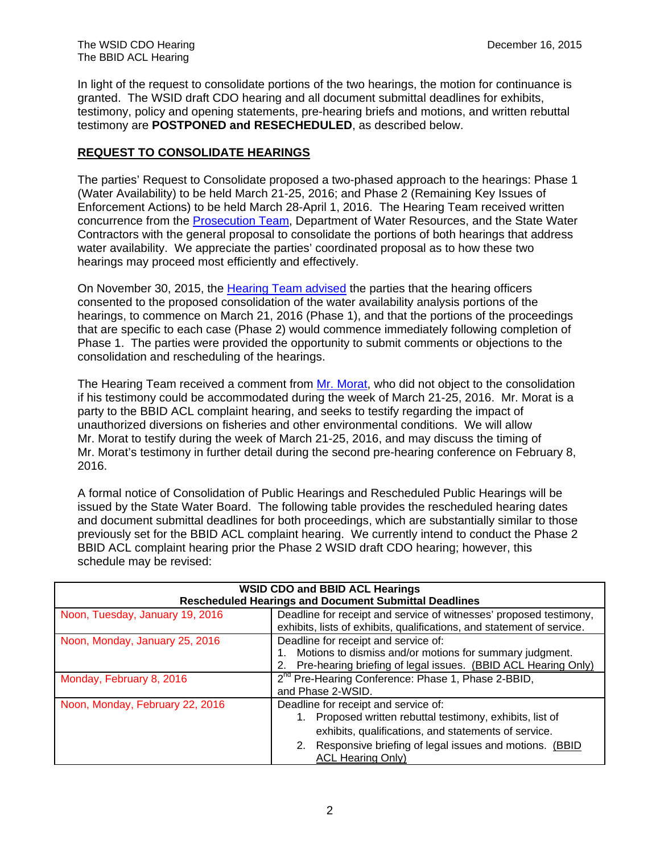In light of the request to consolidate portions of the two hearings, the motion for continuance is granted. The WSID draft CDO hearing and all document submittal deadlines for exhibits, testimony, policy and opening statements, pre-hearing briefs and motions, and written rebuttal testimony are **POSTPONED and RESECHEDULED**, as described below.

## **REQUEST TO CONSOLIDATE HEARINGS**

The parties' Request to Consolidate proposed a two-phased approach to the hearings: Phase 1 (Water Availability) to be held March 21-25, 2016; and Phase 2 (Remaining Key Issues of Enforcement Actions) to be held March 28-April 1, 2016. The Hearing Team received written concurrence from the [Prosecution Team,](http://www.waterboards.ca.gov/waterrights/water_issues/programs/hearings/westside_irrigation_district/docs/wsidcdo_consolidate_ptresponse112415.pdf) Department of Water Resources, and the State Water Contractors with the general proposal to consolidate the portions of both hearings that address water availability. We appreciate the parties' coordinated proposal as to how these two hearings may proceed most efficiently and effectively.

On November 30, 2015, the [Hearing Team advised](http://www.waterboards.ca.gov/waterrights/water_issues/programs/hearings/westside_irrigation_district/docs/wsidcdo_consolidate_boardemail113015.pdf) the parties that the hearing officers consented to the proposed consolidation of the water availability analysis portions of the hearings, to commence on March 21, 2016 (Phase 1), and that the portions of the proceedings that are specific to each case (Phase 2) would commence immediately following completion of Phase 1. The parties were provided the opportunity to submit comments or objections to the consolidation and rescheduling of the hearings.

The Hearing Team received a comment from [Mr. Morat,](http://www.waterboards.ca.gov/waterrights/water_issues/programs/hearings/docs/wsidbbid_consolidate_morat113015.pdf) who did not object to the consolidation if his testimony could be accommodated during the week of March 21-25, 2016. Mr. Morat is a party to the BBID ACL complaint hearing, and seeks to testify regarding the impact of unauthorized diversions on fisheries and other environmental conditions. We will allow Mr. Morat to testify during the week of March 21-25, 2016, and may discuss the timing of Mr. Morat's testimony in further detail during the second pre-hearing conference on February 8, 2016.

A formal notice of Consolidation of Public Hearings and Rescheduled Public Hearings will be issued by the State Water Board. The following table provides the rescheduled hearing dates and document submittal deadlines for both proceedings, which are substantially similar to those previously set for the BBID ACL complaint hearing. We currently intend to conduct the Phase 2 BBID ACL complaint hearing prior the Phase 2 WSID draft CDO hearing; however, this schedule may be revised:

| <b>WSID CDO and BBID ACL Hearings</b><br><b>Rescheduled Hearings and Document Submittal Deadlines</b> |                                                                                                                                                                                                                                                    |  |  |
|-------------------------------------------------------------------------------------------------------|----------------------------------------------------------------------------------------------------------------------------------------------------------------------------------------------------------------------------------------------------|--|--|
| Noon, Tuesday, January 19, 2016                                                                       | Deadline for receipt and service of witnesses' proposed testimony,<br>exhibits, lists of exhibits, qualifications, and statement of service.                                                                                                       |  |  |
| Noon, Monday, January 25, 2016                                                                        | Deadline for receipt and service of:<br>Motions to dismiss and/or motions for summary judgment.<br>Pre-hearing briefing of legal issues. (BBID ACL Hearing Only)                                                                                   |  |  |
| Monday, February 8, 2016                                                                              | 2 <sup>nd</sup> Pre-Hearing Conference: Phase 1, Phase 2-BBID,<br>and Phase 2-WSID.                                                                                                                                                                |  |  |
| Noon, Monday, February 22, 2016                                                                       | Deadline for receipt and service of:<br>1. Proposed written rebuttal testimony, exhibits, list of<br>exhibits, qualifications, and statements of service.<br>2. Responsive briefing of legal issues and motions. (BBID<br><b>ACL Hearing Only)</b> |  |  |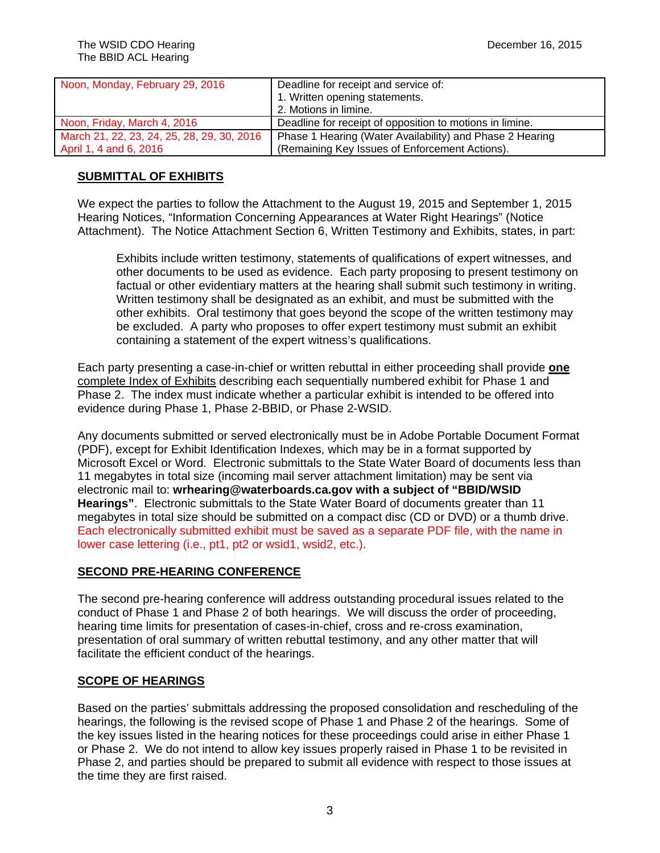| Noon, Monday, February 29, 2016            | Deadline for receipt and service of:<br>1. Written opening statements.<br>2. Motions in limine. |
|--------------------------------------------|-------------------------------------------------------------------------------------------------|
| Noon, Friday, March 4, 2016                | Deadline for receipt of opposition to motions in limine.                                        |
| March 21, 22, 23, 24, 25, 28, 29, 30, 2016 | Phase 1 Hearing (Water Availability) and Phase 2 Hearing                                        |
| April 1, 4 and 6, 2016                     | (Remaining Key Issues of Enforcement Actions).                                                  |

## **SUBMITTAL OF EXHIBITS**

We expect the parties to follow the Attachment to the August 19, 2015 and September 1, 2015 Hearing Notices, "Information Concerning Appearances at Water Right Hearings" (Notice Attachment). The Notice Attachment Section 6, Written Testimony and Exhibits, states, in part:

Exhibits include written testimony, statements of qualifications of expert witnesses, and other documents to be used as evidence. Each party proposing to present testimony on factual or other evidentiary matters at the hearing shall submit such testimony in writing. Written testimony shall be designated as an exhibit, and must be submitted with the other exhibits. Oral testimony that goes beyond the scope of the written testimony may be excluded. A party who proposes to offer expert testimony must submit an exhibit containing a statement of the expert witness's qualifications.

Each party presenting a case-in-chief or written rebuttal in either proceeding shall provide **one** complete Index of Exhibits describing each sequentially numbered exhibit for Phase 1 and Phase 2. The index must indicate whether a particular exhibit is intended to be offered into evidence during Phase 1, Phase 2-BBID, or Phase 2-WSID.

Any documents submitted or served electronically must be in Adobe Portable Document Format (PDF), except for Exhibit Identification Indexes, which may be in a format supported by Microsoft Excel or Word. Electronic submittals to the State Water Board of documents less than 11 megabytes in total size (incoming mail server attachment limitation) may be sent via electronic mail to: **wrhearing@waterboards.ca.gov with a subject of "BBID/WSID Hearings"**. Electronic submittals to the State Water Board of documents greater than 11 megabytes in total size should be submitted on a compact disc (CD or DVD) or a thumb drive. Each electronically submitted exhibit must be saved as a separate PDF file, with the name in lower case lettering (i.e., pt1, pt2 or wsid1, wsid2, etc.).

## **SECOND PRE-HEARING CONFERENCE**

The second pre-hearing conference will address outstanding procedural issues related to the conduct of Phase 1 and Phase 2 of both hearings. We will discuss the order of proceeding, hearing time limits for presentation of cases-in-chief, cross and re-cross examination, presentation of oral summary of written rebuttal testimony, and any other matter that will facilitate the efficient conduct of the hearings.

## **SCOPE OF HEARINGS**

Based on the parties' submittals addressing the proposed consolidation and rescheduling of the hearings, the following is the revised scope of Phase 1 and Phase 2 of the hearings. Some of the key issues listed in the hearing notices for these proceedings could arise in either Phase 1 or Phase 2. We do not intend to allow key issues properly raised in Phase 1 to be revisited in Phase 2, and parties should be prepared to submit all evidence with respect to those issues at the time they are first raised.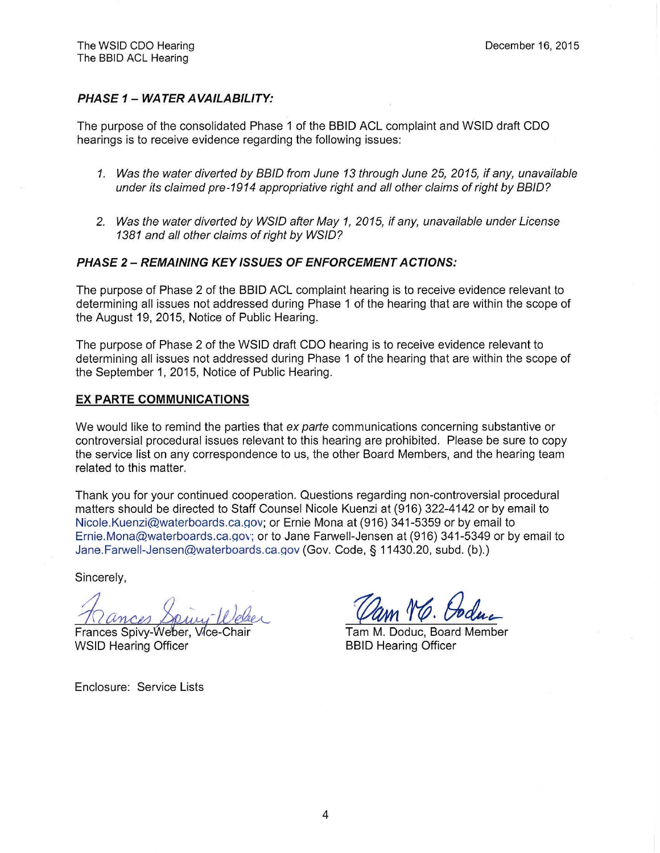### **PHASE 1- WATER AVAILABILITY:**

The purpose of the consolidated Phase 1 of the BBID ACL complaint and WSID draft CDO hearings is to receive evidence regarding the following issues:

- 1. Was the water diverted by 8810 from June 13 through June 25, 2015, if any, unavailable under its claimed pre-1914 appropriative right and all other claims of right by 8810?
- 2. Was the water diverted by WSIO after May 1, 2015, if any, unavailable under License 1381 and all other claims of right by WSID?

#### **PHASE 2 - REMAINING KEY ISSUES OF ENFORCEMENT ACTIONS:**

The purpose of Phase 2 of the BBID ACL complaint hearing is to receive evidence relevant to determining all issues not addressed during Phase 1 of the hearing that are within the scope of the August 19, 2015, Notice of Public Hearing.

The purpose of Phase 2 of the WSID draft CDO hearing is to receive evidence relevant to determining all issues not addressed during Phase 1 of the hearing that are within the scope of the September 1, 2015, Notice of Public Hearing.

#### **EX PARTE COMMUNICATIONS**

We would like to remind the parties that ex parte communications concerning substantive or controversial procedural issues relevant to this hearing are prohibited. Please be sure to copy the service list on any correspondence to us, the other Board Members, and the hearing team related to this matter.

Thank you for your continued cooperation. Questions regarding non-controversial procedural matters should be directed to Staff Counsel Nicole Kuenzi at (916) 322-4142 or by email to [Nicole.Kuenzi@waterboards.ca.gov;](Nicole.Kuenzi@waterboards.ca.gov) or Ernie Mona at (916) 341-5359 or by email to [Ernie.Mona@waterboards.ca.gov](mailto:Ernie.Mona@waterboards.ca.gov); or to Jane Farwell-Jensen at (916) 341-5349 or by email to Jane.Farwell-Jensen@waterboards.ca.gov (Gov. Code, § 11430.20, subd. (b).)

Sincerely,

Frances Spivy-Weber, Vice-Chair **WSID Hearing Officer** 

Enclosure: Service Lists

Vam TO. Joduc

Tam M. Doduc, Board Member BBID Hearing Officer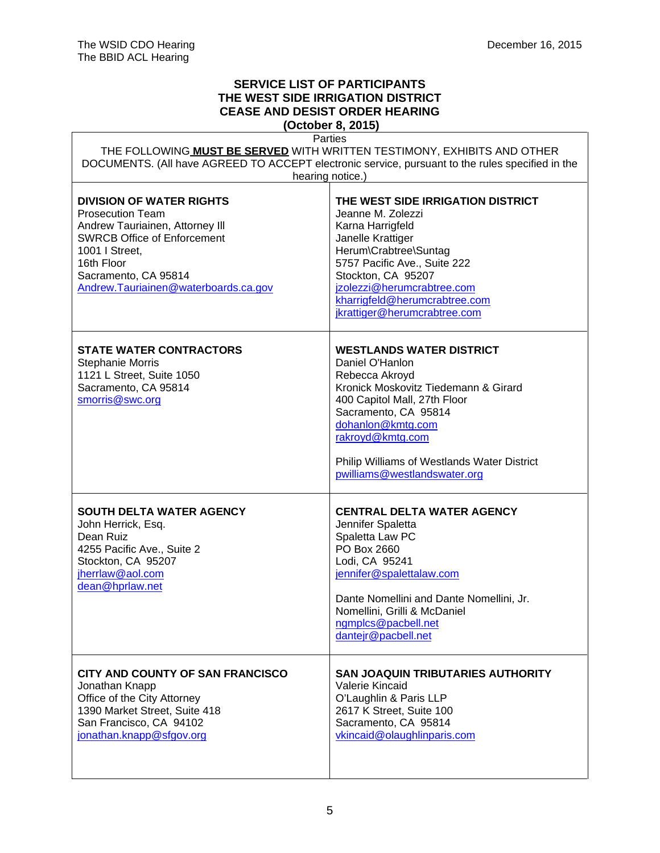٦

 $\mathsf{r}$ 

## **SERVICE LIST OF PARTICIPANTS THE WEST SIDE IRRIGATION DISTRICT CEASE AND DESIST ORDER HEARING**

**(October 8, 2015)**

| Parties<br>THE FOLLOWING MUST BE SERVED WITH WRITTEN TESTIMONY, EXHIBITS AND OTHER<br>DOCUMENTS. (All have AGREED TO ACCEPT electronic service, pursuant to the rules specified in the                                              |                                                                                                                                                                                                                                                                                              |  |
|-------------------------------------------------------------------------------------------------------------------------------------------------------------------------------------------------------------------------------------|----------------------------------------------------------------------------------------------------------------------------------------------------------------------------------------------------------------------------------------------------------------------------------------------|--|
| hearing notice.)                                                                                                                                                                                                                    |                                                                                                                                                                                                                                                                                              |  |
| <b>DIVISION OF WATER RIGHTS</b><br><b>Prosecution Team</b><br>Andrew Tauriainen, Attorney III<br><b>SWRCB Office of Enforcement</b><br>1001   Street,<br>16th Floor<br>Sacramento, CA 95814<br>Andrew.Tauriainen@waterboards.ca.gov | THE WEST SIDE IRRIGATION DISTRICT<br>Jeanne M. Zolezzi<br>Karna Harrigfeld<br>Janelle Krattiger<br>Herum\Crabtree\Suntag<br>5757 Pacific Ave., Suite 222<br>Stockton, CA 95207<br>jzolezzi@herumcrabtree.com<br>kharrigfeld@herumcrabtree.com<br>jkrattiger@herumcrabtree.com                |  |
| <b>STATE WATER CONTRACTORS</b><br><b>Stephanie Morris</b><br>1121 L Street, Suite 1050<br>Sacramento, CA 95814<br>smorris@swc.org                                                                                                   | <b>WESTLANDS WATER DISTRICT</b><br>Daniel O'Hanlon<br>Rebecca Akroyd<br>Kronick Moskovitz Tiedemann & Girard<br>400 Capitol Mall, 27th Floor<br>Sacramento, CA 95814<br>dohanlon@kmtg.com<br>rakroyd@kmtg.com<br>Philip Williams of Westlands Water District<br>pwilliams@westlandswater.org |  |
| <b>SOUTH DELTA WATER AGENCY</b><br>John Herrick, Esq.<br>Dean Ruiz<br>4255 Pacific Ave., Suite 2<br>Stockton, CA 95207<br>jherrlaw@aol.com<br>dean@hprlaw.net                                                                       | <b>CENTRAL DELTA WATER AGENCY</b><br>Jennifer Spaletta<br>Spaletta Law PC<br>PO Box 2660<br>Lodi, CA 95241<br>jennifer@spalettalaw.com<br>Dante Nomellini and Dante Nomellini, Jr.<br>Nomellini, Grilli & McDaniel<br>ngmplcs@pacbell.net<br>dantejr@pacbell.net                             |  |
| CITY AND COUNTY OF SAN FRANCISCO<br>Jonathan Knapp<br>Office of the City Attorney<br>1390 Market Street, Suite 418<br>San Francisco, CA 94102<br>jonathan.knapp@sfgov.org                                                           | <b>SAN JOAQUIN TRIBUTARIES AUTHORITY</b><br>Valerie Kincaid<br>O'Laughlin & Paris LLP<br>2617 K Street, Suite 100<br>Sacramento, CA 95814<br>vkincaid@olaughlinparis.com                                                                                                                     |  |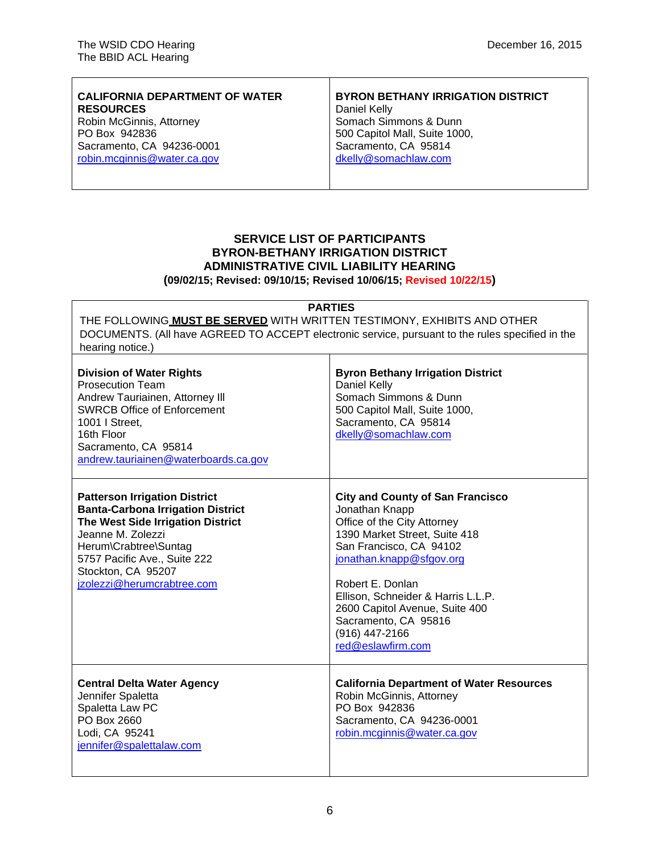| <b>CALIFORNIA DEPARTMENT OF WATER</b> | <b>BYRON BETHANY IRRIGATION DISTRICT</b> |
|---------------------------------------|------------------------------------------|
| <b>RESOURCES</b>                      | Daniel Kelly                             |
| Robin McGinnis, Attorney              | Somach Simmons & Dunn                    |
| PO Box 942836                         | 500 Capitol Mall, Suite 1000,            |
| Sacramento, CA 94236-0001             | Sacramento, CA 95814                     |
| robin.mcginnis@water.ca.gov           | dkelly@somachlaw.com                     |
|                                       |                                          |

Τ

# **SERVICE LIST OF PARTICIPANTS BYRON-BETHANY IRRIGATION DISTRICT ADMINISTRATIVE CIVIL LIABILITY HEARING**

**(09/02/15; Revised: 09/10/15; Revised 10/06/15; Revised 10/22/15)**

| <b>PARTIES</b><br>THE FOLLOWING MUST BE SERVED WITH WRITTEN TESTIMONY, EXHIBITS AND OTHER<br>DOCUMENTS. (All have AGREED TO ACCEPT electronic service, pursuant to the rules specified in the<br>hearing notice.)                                       |                                                                                                                                                                                                                                                                                                                                             |  |
|---------------------------------------------------------------------------------------------------------------------------------------------------------------------------------------------------------------------------------------------------------|---------------------------------------------------------------------------------------------------------------------------------------------------------------------------------------------------------------------------------------------------------------------------------------------------------------------------------------------|--|
| <b>Division of Water Rights</b><br><b>Prosecution Team</b><br>Andrew Tauriainen, Attorney III<br><b>SWRCB Office of Enforcement</b><br>1001   Street,<br>16th Floor<br>Sacramento, CA 95814<br>andrew.tauriainen@waterboards.ca.gov                     | <b>Byron Bethany Irrigation District</b><br>Daniel Kelly<br>Somach Simmons & Dunn<br>500 Capitol Mall, Suite 1000,<br>Sacramento, CA 95814<br>dkelly@somachlaw.com                                                                                                                                                                          |  |
| <b>Patterson Irrigation District</b><br><b>Banta-Carbona Irrigation District</b><br>The West Side Irrigation District<br>Jeanne M. Zolezzi<br>Herum\Crabtree\Suntag<br>5757 Pacific Ave., Suite 222<br>Stockton, CA 95207<br>jzolezzi@herumcrabtree.com | <b>City and County of San Francisco</b><br>Jonathan Knapp<br>Office of the City Attorney<br>1390 Market Street, Suite 418<br>San Francisco, CA 94102<br>jonathan.knapp@sfgov.org<br>Robert E. Donlan<br>Ellison, Schneider & Harris L.L.P.<br>2600 Capitol Avenue, Suite 400<br>Sacramento, CA 95816<br>(916) 447-2166<br>red@eslawfirm.com |  |
| <b>Central Delta Water Agency</b><br>Jennifer Spaletta<br>Spaletta Law PC<br>PO Box 2660<br>Lodi, CA 95241<br>jennifer@spalettalaw.com                                                                                                                  | <b>California Department of Water Resources</b><br>Robin McGinnis, Attorney<br>PO Box 942836<br>Sacramento, CA 94236-0001<br>robin.mcginnis@water.ca.gov                                                                                                                                                                                    |  |